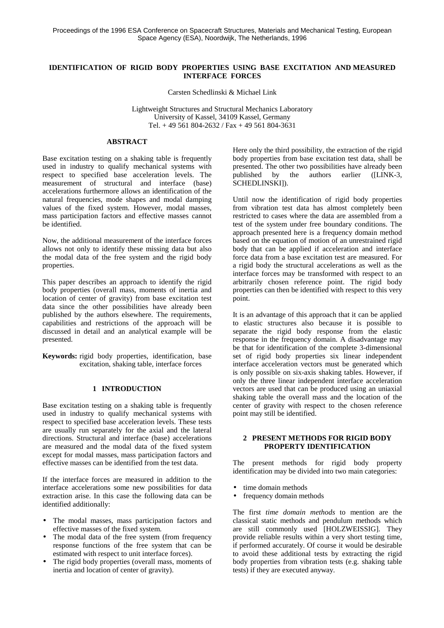# **IDENTIFICATION OF RIGID BODY PROPERTIES USING BASE EXCITATION AND MEASURED INTERFACE FORCES**

Carsten Schedlinski & Michael Link

Lightweight Structures and Structural Mechanics Laboratory University of Kassel, 34109 Kassel, Germany Tel. + 49 561 804-2632 / Fax + 49 561 804-3631

## **ABSTRACT**

Base excitation testing on a shaking table is frequently used in industry to qualify mechanical systems with respect to specified base acceleration levels. The measurement of structural and interface (base) accelerations furthermore allows an identification of the natural frequencies, mode shapes and modal damping values of the fixed system. However, modal masses, mass participation factors and effective masses cannot be identified.

Now, the additional measurement of the interface forces allows not only to identify these missing data but also the modal data of the free system and the rigid body properties.

This paper describes an approach to identify the rigid body properties (overall mass, moments of inertia and location of center of gravity) from base excitation test data since the other possibilities have already been published by the authors elsewhere. The requirements, capabilities and restrictions of the approach will be discussed in detail and an analytical example will be presented.

**Keywords:** rigid body properties, identification, base excitation, shaking table, interface forces

## **1 INTRODUCTION**

Base excitation testing on a shaking table is frequently used in industry to qualify mechanical systems with respect to specified base acceleration levels. These tests are usually run separately for the axial and the lateral directions. Structural and interface (base) accelerations are measured and the modal data of the fixed system except for modal masses, mass participation factors and effective masses can be identified from the test data.

If the interface forces are measured in addition to the interface accelerations some new possibilities for data extraction arise. In this case the following data can be identified additionally:

- The modal masses, mass participation factors and effective masses of the fixed system.
- The modal data of the free system (from frequency response functions of the free system that can be estimated with respect to unit interface forces).
- The rigid body properties (overall mass, moments of inertia and location of center of gravity).

Here only the third possibility, the extraction of the rigid body properties from base excitation test data, shall be presented. The other two possibilities have already been published by the authors earlier ([LINK-3, SCHEDLINSKI]).

Until now the identification of rigid body properties from vibration test data has almost completely been restricted to cases where the data are assembled from a test of the system under free boundary conditions. The approach presented here is a frequency domain method based on the equation of motion of an unrestrained rigid body that can be applied if acceleration and interface force data from a base excitation test are measured. For a rigid body the structural accelerations as well as the interface forces may be transformed with respect to an arbitrarily chosen reference point. The rigid body properties can then be identified with respect to this very point.

It is an advantage of this approach that it can be applied to elastic structures also because it is possible to separate the rigid body response from the elastic response in the frequency domain. A disadvantage may be that for identification of the complete 3-dimensional set of rigid body properties six linear independent interface acceleration vectors must be generated which is only possible on six-axis shaking tables. However, if only the three linear independent interface acceleration vectors are used that can be produced using an uniaxial shaking table the overall mass and the location of the center of gravity with respect to the chosen reference point may still be identified.

# **2 PRESENT METHODS FOR RIGID BODY PROPERTY IDENTIFICATION**

The present methods for rigid body property identification may be divided into two main categories:

- time domain methods
- frequency domain methods

The first *time domain methods* to mention are the classical static methods and pendulum methods which are still commonly used [HOLZWEISSIG]. They provide reliable results within a very short testing time, if performed accurately. Of course it would be desirable to avoid these additional tests by extracting the rigid body properties from vibration tests (e.g. shaking table tests) if they are executed anyway.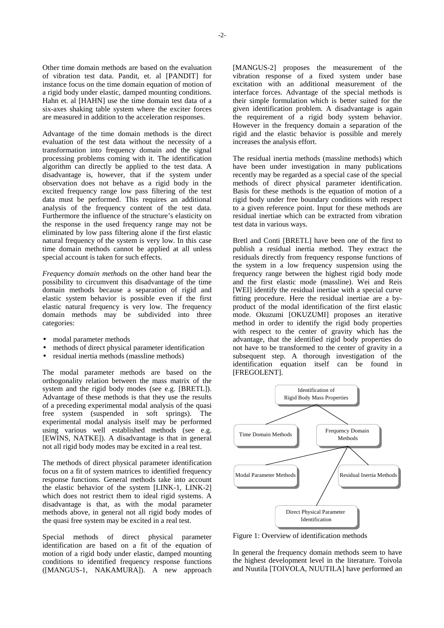Other time domain methods are based on the evaluation of vibration test data. Pandit, et. al [PANDIT] for instance focus on the time domain equation of motion of a rigid body under elastic, damped mounting conditions. Hahn et. al [HAHN] use the time domain test data of a six-axes shaking table system where the exciter forces are measured in addition to the acceleration responses.

Advantage of the time domain methods is the direct evaluation of the test data without the necessity of a transformation into frequency domain and the signal processing problems coming with it. The identification algorithm can directly be applied to the test data. A disadvantage is, however, that if the system under observation does not behave as a rigid body in the excited frequency range low pass filtering of the test data must be performed. This requires an additional analysis of the frequency content of the test data. Furthermore the influence of the structure's elasticity on the response in the used frequency range may not be eliminated by low pass filtering alone if the first elastic natural frequency of the system is very low. In this case time domain methods cannot be applied at all unless special account is taken for such effects.

*Frequency domain methods* on the other hand bear the possibility to circumvent this disadvantage of the time domain methods because a separation of rigid and elastic system behavior is possible even if the first elastic natural frequency is very low. The frequency domain methods may be subdivided into three categories:

- modal parameter methods
- methods of direct physical parameter identification
- residual inertia methods (massline methods)

The modal parameter methods are based on the orthogonality relation between the mass matrix of the system and the rigid body modes (see e.g. [BRETL]). Advantage of these methods is that they use the results of a preceding experimental modal analysis of the quasi free system (suspended in soft springs). The experimental modal analysis itself may be performed using various well established methods (see e.g. [EWINS, NATKE]). A disadvantage is that in general not all rigid body modes may be excited in a real test.

The methods of direct physical parameter identification focus on a fit of system matrices to identified frequency response functions. General methods take into account the elastic behavior of the system [LINK-1, LINK-2] which does not restrict them to ideal rigid systems. A disadvantage is that, as with the modal parameter methods above, in general not all rigid body modes of the quasi free system may be excited in a real test.

Special methods of direct physical parameter identification are based on a fit of the equation of motion of a rigid body under elastic, damped mounting conditions to identified frequency response functions ([MANGUS-1, NAKAMURA]). A new approach [MANGUS-2] proposes the measurement of the vibration response of a fixed system under base excitation with an additional measurement of the interface forces. Advantage of the special methods is their simple formulation which is better suited for the given identification problem. A disadvantage is again the requirement of a rigid body system behavior. However in the frequency domain a separation of the rigid and the elastic behavior is possible and merely increases the analysis effort.

The residual inertia methods (massline methods) which have been under investigation in many publications recently may be regarded as a special case of the special methods of direct physical parameter identification. Basis for these methods is the equation of motion of a rigid body under free boundary conditions with respect to a given reference point. Input for these methods are residual inertiae which can be extracted from vibration test data in various ways.

Bretl and Conti [BRETL] have been one of the first to publish a residual inertia method. They extract the residuals directly from frequency response functions of the system in a low frequency suspension using the frequency range between the highest rigid body mode and the first elastic mode (massline). Wei and Reis [WEI] identify the residual inertiae with a special curve fitting procedure. Here the residual inertiae are a byproduct of the modal identification of the first elastic mode. Okuzumi [OKUZUMI] proposes an iterative method in order to identify the rigid body properties with respect to the center of gravity which has the advantage, that the identified rigid body properties do not have to be transformed to the center of gravity in a subsequent step. A thorough investigation of the identification equation itself can be found in [FREGOLENT].



Figure 1: Overview of identification methods

In general the frequency domain methods seem to have the highest development level in the literature. Toivola and Nuutila [TOIVOLA, NUUTILA] have performed an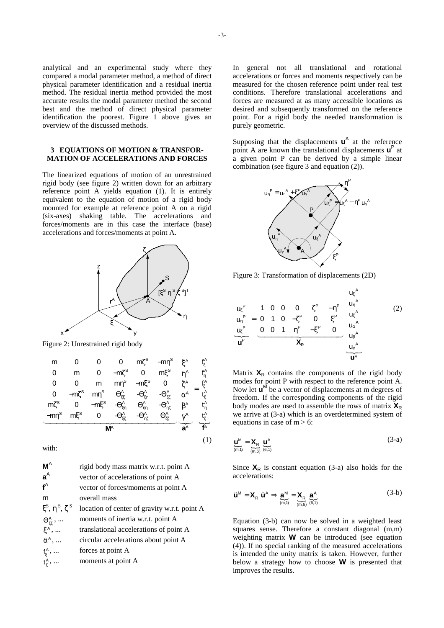analytical and an experimental study where they compared a modal parameter method, a method of direct physical parameter identification and a residual inertia method. The residual inertia method provided the most accurate results the modal parameter method the second best and the method of direct physical parameter identification the poorest. Figure 1 above gives an overview of the discussed methods.

### **3 EQUATIONS OF MOTION & TRANSFOR-MATION OF ACCELERATIONS AND FORCES**

The linearized equations of motion of an unrestrained rigid body (see figure 2) written down for an arbitrary reference point A yields equation (1). It is entirely equivalent to the equation of motion of a rigid body mounted for example at reference point A on a rigid (six-axes) shaking table. The accelerations and forces/moments are in this case the interface (base) accelerations and forces/moments at point A.



Figure 2: Unrestrained rigid body

$$
\begin{bmatrix} m & 0 & 0 & 0 & m\zeta^{s} & -m\eta^{s} \\ 0 & m & 0 & -m\zeta^{s} & 0 & m\zeta^{s} \\ 0 & 0 & m & m\eta^{s} & -m\zeta^{s} & 0 \\ 0 & -m\zeta^{s} & m\eta^{s} & \Theta_{\xi\xi}^{A} & -\Theta_{\xi\eta}^{A} & -\Theta_{\xi\xi}^{A} \\ m\zeta^{s} & 0 & -m\zeta^{s} & -\Theta_{\xi\eta}^{A} & \Theta_{\eta\eta}^{A} & -\Theta_{\eta\xi}^{A} \\ -m\eta^{s} & m\zeta^{s} & 0 & -\Theta_{\xi\xi}^{A} & -\Theta_{\eta\xi}^{A} & \Theta_{\eta\xi}^{A} \\ \end{bmatrix} \begin{bmatrix} \ddot{\xi}^{A} \\ \ddot{\xi}^{A} \\ \ddot{\xi}^{A} \\ \ddot{\xi}^{A} \\ \ddot{\xi}^{A} \\ \ddot{\xi}^{A} \\ \end{bmatrix} = \begin{bmatrix} f_{\xi}^{A} \\ f_{\eta}^{A} \\ \ddot{\xi}^{A} \\ \ddot{\xi}^{A} \\ \ddot{\xi} \\ \ddot{\xi} \\ \ddot{\xi} \\ \end{bmatrix}
$$

(1)

with:

| rigid body mass matrix w.r.t. point A        |
|----------------------------------------------|
| vector of accelerations of point A           |
| vector of forces/moments at point A          |
| overall mass                                 |
| location of center of gravity w.r.t. point A |
| moments of inertia w.r.t. point A            |
| translational accelerations of point A       |
| circular accelerations about point A         |
| forces at point A                            |
| moments at point A                           |
|                                              |

In general not all translational and rotational accelerations or forces and moments respectively can be measured for the chosen reference point under real test conditions. Therefore translational accelerations and forces are measured at as many accessible locations as desired and subsequently transformed on the reference point. For a rigid body the needed transformation is purely geometric.

Supposing that the displacements  $\mathbf{u}^{\mathsf{A}}$  at the reference point A are known the translational displacements  $\mathbf{u}^{\text{P}}$  at a given point P can be derived by a simple linear combination (see figure 3 and equation (2)).



Figure 3: Transformation of displacements (2D)

$$
\begin{bmatrix} u_{\xi}^{P} \\ u_{\eta}^{P} \\ u_{\xi}^{P} \end{bmatrix} = \begin{bmatrix} 1 & 0 & 0 & 0 & \zeta^{P} & -\eta^{P} \\ 0 & 1 & 0 & -\zeta^{P} & 0 & \xi^{P} \\ 0 & 0 & 1 & \eta^{P} & -\xi^{P} & 0 \end{bmatrix} \begin{bmatrix} u_{\xi}^{A} \\ u_{\eta}^{A} \\ u_{\xi}^{A} \\ u_{\eta}^{A} \\ u_{\eta}^{A} \\ u_{\eta}^{A} \\ u_{\eta}^{A} \end{bmatrix}
$$
(2)

Matrix  $X_R$  contains the components of the rigid body modes for point P with respect to the reference point A. Now let  $\mathbf{u}^M$  be a vector of displacements at m degrees of freedom. If the corresponding components of the rigid body modes are used to assemble the rows of matrix  $X_R$ we arrive at (3-a) which is an overdetermined system of equations in case of  $m > 6$ :

$$
\underline{\mathbf{u}}_{\left(m,1\right)}^{\mathsf{M}} = \underset{\left(m,6\right)}{\mathbf{X}_{\mathsf{R}}} \ \underline{\mathbf{u}}^{\mathsf{A}}_{\left(6,1\right)} \tag{3-a}
$$

Since  $X_R$  is constant equation (3-a) also holds for the accelerations:

$$
\dot{\mathbf{u}}^{\mathsf{M}} = \mathbf{X}_{\mathsf{R}} \ \dot{\mathbf{u}}^{\mathsf{A}} \Rightarrow \underbrace{\mathbf{a}}_{\langle m, 1 \rangle}^{\mathsf{M}} = \mathbf{X}_{\mathsf{R}} \underbrace{\mathbf{a}}_{\langle m, 6 \rangle}^{\mathsf{A}} \underbrace{\mathbf{a}^{\mathsf{A}}}_{\langle 6, 1 \rangle}
$$
 (3-b)

Equation (3-b) can now be solved in a weighted least squares sense. Therefore a constant diagonal (m,m) weighting matrix **W** can be introduced (see equation (4)). If no special ranking of the measured accelerations is intended the unity matrix is taken. However, further below a strategy how to choose **W** is presented that improves the results.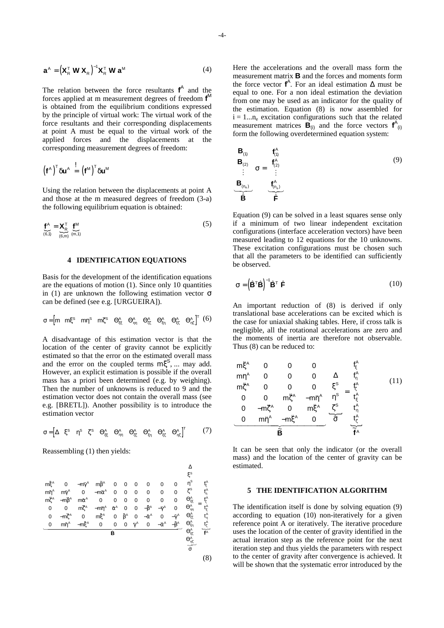$$
\mathbf{a}^{\mathsf{A}} = \left(\mathbf{X}_{\mathsf{R}}^{\mathsf{T}} \mathbf{W} \mathbf{X}_{\mathsf{R}}\right)^{-1} \mathbf{X}_{\mathsf{R}}^{\mathsf{T}} \mathbf{W} \mathbf{a}^{\mathsf{M}}
$$
(4)

The relation between the force resultants  $f^A$  and the forces applied at m measurement degrees of freedom **f** M is obtained from the equilibrium conditions expressed by the principle of virtual work: The virtual work of the force resultants and their corresponding displacements at point A must be equal to the virtual work of the applied forces and the displacements at the corresponding measurement degrees of freedom:

$$
\left(\bm{f}^{\scriptscriptstyle\mathsf{A}}\right)^{\scriptscriptstyle\mathsf{T}}\delta\bm{u}^{\scriptscriptstyle\mathsf{A}}\ \stackrel{!}{=} \ \left(\bm{f}^{\scriptscriptstyle\mathsf{M}}\right)^{\scriptscriptstyle\mathsf{T}}\delta\bm{u}^{\scriptscriptstyle\mathsf{M}}
$$

Using the relation between the displacements at point A and those at the m measured degrees of freedom (3-a) the following equilibrium equation is obtained:

$$
\underbrace{\mathbf{f}^{\mathsf{A}}}_{(6,1)} = \underbrace{\mathbf{X}_{\mathsf{R}}^{\mathsf{T}}}_{(6,m)} \underbrace{\mathbf{f}^{\mathsf{M}}}_{(m,1)}
$$
(5)

# **4 IDENTIFICATION EQUATIONS**

Basis for the development of the identification equations are the equations of motion (1). Since only 10 quantities in (1) are unknown the following estimation vector  $\sigma$ can be defined (see e.g. [URGUEIRA]).

σ = [ ] mm m m S S S AAA <sup>T</sup> ξηζ ΘΘ ΘΘΘΘ ξξ ηη ζζ ξη ξζ ηζ AA A (6)

A disadvantage of this estimation vector is that the location of the center of gravity cannot be explicitly estimated so that the error on the estimated overall mass and the error on the coupled terms  $m\xi^s$ , ... may add. However, an explicit estimation is possible if the overall mass has a priori been determined (e.g. by weighing). Then the number of unknowns is reduced to 9 and the estimation vector does not contain the overall mass (see e.g. [BRETL]). Another possibility is to introduce the estimation vector

$$
\sigma\!=\!\!\begin{bmatrix}\Delta & \xi^\text{s} & \eta^\text{s} & \zeta^\text{s} & \Theta_{\xi\xi}^\text{A} & \Theta_{\eta\eta}^\text{A} & \Theta_{\zeta\zeta}^\text{A} & \Theta_{\xi\eta}^\text{A} & \Theta_{\eta\zeta}^\text{A}\end{bmatrix}^T\tag{7}
$$

Reassembling (1) then yields:



Here the accelerations and the overall mass form the measurement matrix **B** and the forces and moments form the force vector  $f^A$ . For an ideal estimation  $\Delta$  must be equal to one. For a non ideal estimation the deviation from one may be used as an indicator for the quality of the estimation. Equation (8) is now assembled for  $i = 1...n_e$  excitation configurations such that the related measurement matrices  $\overrightarrow{B}_{(i)}$  and the force vectors  $f^A_{(i)}$ form the following overdetermined equation system:

$$
\begin{bmatrix}\n\mathbf{B}_{(1)} \\
\mathbf{B}_{(2)} \\
\vdots \\
\mathbf{B}_{(n_0)}\n\end{bmatrix}\n\sigma = \begin{bmatrix}\n\mathbf{f}_{(1)}^A \\
\mathbf{f}_{(2)}^A \\
\vdots \\
\mathbf{f}_{(n_0)}^A\n\end{bmatrix}
$$
\n(9)

Equation (9) can be solved in a least squares sense only if a minimum of two linear independent excitation configurations (interface acceleration vectors) have been measured leading to 12 equations for the 10 unknowns. These excitation configurations must be chosen such that all the parameters to be identified can sufficiently be observed.

$$
\sigma = \left(\hat{\mathbf{B}}^{\top}\hat{\mathbf{B}}\right)^{-1}\hat{\mathbf{B}}^{\top}\hat{\mathbf{F}} \tag{10}
$$

An important reduction of (8) is derived if only translational base accelerations can be excited which is the case for uniaxial shaking tables. Here, if cross talk is negligible, all the rotational accelerations are zero and the moments of inertia are therefore not observable. Thus (8) can be reduced to:

$$
\begin{bmatrix}\nm_5^{\mu} & 0 & 0 & 0 \\
m_1^{\mu} & 0 & 0 & 0 \\
m_5^{\mu} & 0 & 0 & 0 \\
0 & 0 & m_5^{\mu} & -m_1^{\mu}\n\end{bmatrix}\n\begin{bmatrix}\n\Delta \\
\zeta^s \\
\zeta^s \\
\zeta^s\n\end{bmatrix} = \begin{bmatrix}\n\frac{f_5^{\mu}}{f_5^{\mu}} \\
f_1^{\mu} \\
f_5^{\mu}\n\end{bmatrix}
$$
\n(11)\n  
\n
$$
\begin{bmatrix}\n0 & m_5^{\mu} & 0 & m_5^{\mu} \\
0 & m_1^{\mu} & -m_5^{\mu} & 0\n\end{bmatrix} \begin{bmatrix}\n\Delta \\
\zeta^s \\
\zeta^s\n\end{bmatrix} = \begin{bmatrix}\n\frac{f_5^{\mu}}{f_5^{\mu}} \\
\frac{f_5^{\mu}}{f_5^{\mu}} \\
\frac{f_5^{\mu}}{f_5^{\mu}} \\
\frac{f_5^{\mu}}{f_5^{\mu}}\n\end{bmatrix}
$$
\n(11)

It can be seen that only the indicator (or the overall mass) and the location of the center of gravity can be estimated.

### **5 THE IDENTIFICATION ALGORITHM**

The identification itself is done by solving equation (9) according to equation (10) non-iteratively for a given reference point A or iteratively. The iterative procedure uses the location of the center of gravity identified in the actual iteration step as the reference point for the next iteration step and thus yields the parameters with respect to the center of gravity after convergence is achieved. It will be shown that the systematic error introduced by the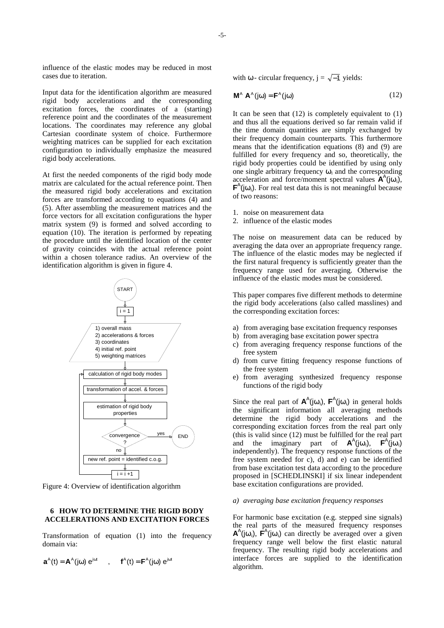influence of the elastic modes may be reduced in most cases due to iteration.

Input data for the identification algorithm are measured rigid body accelerations and the corresponding excitation forces, the coordinates of a (starting) reference point and the coordinates of the measurement locations. The coordinates may reference any global Cartesian coordinate system of choice. Furthermore weighting matrices can be supplied for each excitation configuration to individually emphasize the measured rigid body accelerations.

At first the needed components of the rigid body mode matrix are calculated for the actual reference point. Then the measured rigid body accelerations and excitation forces are transformed according to equations (4) and (5). After assembling the measurement matrices and the force vectors for all excitation configurations the hyper matrix system (9) is formed and solved according to equation (10). The iteration is performed by repeating the procedure until the identified location of the center of gravity coincides with the actual reference point within a chosen tolerance radius. An overview of the identification algorithm is given in figure 4.



Figure 4: Overview of identification algorithm

## **6 HOW TO DETERMINE THE RIGID BODY ACCELERATIONS AND EXCITATION FORCES**

Transformation of equation (1) into the frequency domain via:

$$
\boldsymbol{a}^{\text{A}}(t)=\boldsymbol{A}^{\text{A}}(j\omega)\ \text{e}^{j\omega t}\qquad,\qquad \boldsymbol{f}^{\text{A}}(t)=\boldsymbol{F}^{\text{A}}(j\omega)\ \text{e}^{j\omega t}
$$

with  $\omega$  - circular frequency,  $j = \sqrt{-1}$  yields:

$$
\mathbf{M}^{\mathsf{A}} \mathbf{A}^{\mathsf{A}}(\mathbf{j}\omega) = \mathbf{F}^{\mathsf{A}}(\mathbf{j}\omega)
$$
 (12)

It can be seen that  $(12)$  is completely equivalent to  $(1)$ and thus all the equations derived so far remain valid if the time domain quantities are simply exchanged by their frequency domain counterparts. This furthermore means that the identification equations (8) and (9) are fulfilled for every frequency and so, theoretically, the rigid body properties could be identified by using only one single arbitrary frequency  $\omega_i$  and the corresponding acceleration and force/moment spectral values  $\mathbf{A}^{A}$ (j $\omega_{i}$ ),  $F^A(j\omega_i)$ . For real test data this is not meaningful because of two reasons:

- 1. noise on measurement data
- 2. influence of the elastic modes

The noise on measurement data can be reduced by averaging the data over an appropriate frequency range. The influence of the elastic modes may be neglected if the first natural frequency is sufficiently greater than the frequency range used for averaging. Otherwise the influence of the elastic modes must be considered.

This paper compares five different methods to determine the rigid body accelerations (also called masslines) and the corresponding excitation forces:

- a) from averaging base excitation frequency responses
- b) from averaging base excitation power spectra
- c) from averaging frequency response functions of the free system
- d) from curve fitting frequency response functions of the free system
- e) from averaging synthesized frequency response functions of the rigid body

Since the real part of  $A^A(j\omega_i)$ ,  $F^A(j\omega_i)$  in general holds the significant information all averaging methods determine the rigid body accelerations and the corresponding excitation forces from the real part only (this is valid since (12) must be fulfilled for the real part and the imaginary part of  $A^A(j\omega_i)$ ,  $F^A(j\omega_i)$ independently). The frequency response functions of the free system needed for c), d) and e) can be identified from base excitation test data according to the procedure proposed in [SCHEDLINSKI] if six linear independent base excitation configurations are provided.

# *a) averaging base excitation frequency responses*

For harmonic base excitation (e.g. stepped sine signals) the real parts of the measured frequency responses  $\mathbf{A}^{\mathsf{A}}$ (jω<sub>i</sub>),  $\mathbf{F}^{\mathsf{A}}$ (jω<sub>i</sub>) can directly be averaged over a given frequency range well below the first elastic natural frequency. The resulting rigid body accelerations and interface forces are supplied to the identification algorithm.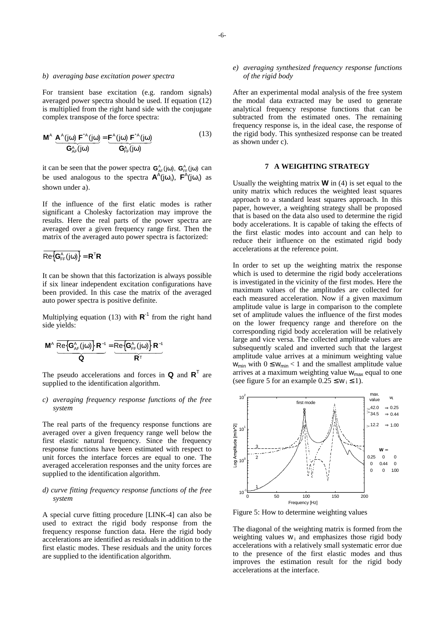#### *b) averaging base excitation power spectra*

For transient base excitation (e.g. random signals) averaged power spectra should be used. If equation (12) is multiplied from the right hand side with the conjugate complex transpose of the force spectra:

$$
\mathbf{M}^{\mathsf{A}} \underbrace{\mathbf{A}^{\mathsf{A}}(j\omega) \mathbf{F}^{\mathsf{A}}(j\omega)}_{\mathbf{G}_{\mathsf{A}\mathsf{F}}^{\mathsf{A}}(j\omega)} = \underbrace{\mathbf{F}^{\mathsf{A}}(j\omega) \mathbf{F}^{\mathsf{A}}(j\omega)}_{\mathbf{G}_{\mathsf{F}\mathsf{F}}^{\mathsf{A}}(j\omega)}
$$
(13)

it can be seen that the power spectra  $\mathbf{G}_{AF}^{A}(j\omega)$ ,  $\mathbf{G}_{FF}^{A}(j\omega)$  can be used analogous to the spectra  $A^A(j\omega_i)$ ,  $F^A(j\omega_i)$  as shown under a).

If the influence of the first elatic modes is rather significant a Cholesky factorization may improve the results. Here the real parts of the power spectra are averaged over a given frequency range first. Then the matrix of the averaged auto power spectra is factorized:

$$
\overline{\text{Re}\big\{\textbf{G}_{\text{FF}}^{\text{A}}\big(j\omega\big)\!\big\}}=\textbf{R}^{\text{T}}\textbf{R}
$$

It can be shown that this factorization is always possible if six linear independent excitation configurations have been provided. In this case the matrix of the averaged auto power spectra is positive definite.

Multiplying equation (13) with  $\mathbb{R}^{-1}$  from the right hand side yields:

$$
\frac{M^{\text{A}}}{\mathbf{R}\mathbf{e}\left\{\mathbf{G}_{\text{AF}}^{\text{A}}(j\omega)\right\}}\mathbf{R}^{-1}}{\hat{\mathbf{Q}}}= \frac{\overline{\text{Re}\left\{\mathbf{G}_{\text{FF}}^{\text{A}}(j\omega)\right\}}\mathbf{R}^{-1}}{\mathbf{R}^{\text{T}}}
$$

The pseudo accelerations and forces in **Q** and **R**<sup>T</sup> are supplied to the identification algorithm.

## *c) averaging frequency response functions of the free system*

The real parts of the frequency response functions are averaged over a given frequency range well below the first elastic natural frequency. Since the frequency response functions have been estimated with respect to unit forces the interface forces are equal to one. The averaged acceleration responses and the unity forces are supplied to the identification algorithm.

## *d) curve fitting frequency response functions of the free system*

A special curve fitting procedure [LINK-4] can also be used to extract the rigid body response from the frequency response function data. Here the rigid body accelerations are identified as residuals in addition to the first elastic modes. These residuals and the unity forces are supplied to the identification algorithm.

### *e) averaging synthesized frequency response functions of the rigid body*

After an experimental modal analysis of the free system the modal data extracted may be used to generate analytical frequency response functions that can be subtracted from the estimated ones. The remaining frequency response is, in the ideal case, the response of the rigid body. This synthesized response can be treated as shown under c).

# **7 A WEIGHTING STRATEGY**

Usually the weighting matrix **W** in (4) is set equal to the unity matrix which reduces the weighted least squares approach to a standard least squares approach. In this paper, however, a weighting strategy shall be proposed that is based on the data also used to determine the rigid body accelerations. It is capable of taking the effects of the first elastic modes into account and can help to reduce their influence on the estimated rigid body accelerations at the reference point.

In order to set up the weighting matrix the response which is used to determine the rigid body accelerations is investigated in the vicinity of the first modes. Here the maximum values of the amplitudes are collected for each measured acceleration. Now if a given maximum amplitude value is large in comparison to the complete set of amplitude values the influence of the first modes on the lower frequency range and therefore on the corresponding rigid body acceleration will be relatively large and vice versa. The collected amplitude values are subsequently scaled and inverted such that the largest amplitude value arrives at a minimum weighting value  $W_{\text{min}}$  with  $0 \leq W_{\text{min}} < 1$  and the smallest amplitude value arrives at a maximum weighting value  $w_{\text{max}}$  equal to one (see figure 5 for an example  $0.25 \leq w_i \leq 1$ ).



Figure 5: How to determine weighting values

The diagonal of the weighting matrix is formed from the weighting values  $w_i$  and emphasizes those rigid body accelerations with a relatively small systematic error due to the presence of the first elastic modes and thus improves the estimation result for the rigid body accelerations at the interface.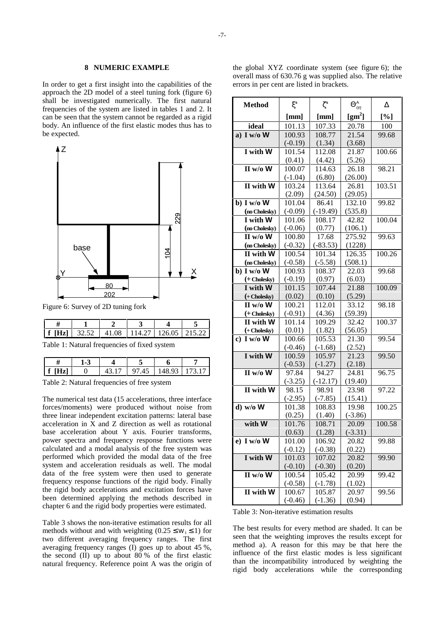#### **8 NUMERIC EXAMPLE**

In order to get a first insight into the capabilities of the approach the 2D model of a steel tuning fork (figure 6) shall be investigated numerically. The first natural frequencies of the system are listed in tables 1 and 2. It can be seen that the system cannot be regarded as a rigid body. An influence of the first elastic modes thus has to be expected.



Figure 6: Survey of 2D tuning fork

| 177 T<br>$1f$ $\Pi$ | 325 |  | 114 27 1 126 05 | 1.215.27 |
|---------------------|-----|--|-----------------|----------|

Table 1: Natural frequencies of fixed system

Table 2: Natural frequencies of free system

The numerical test data (15 accelerations, three interface forces/moments) were produced without noise from three linear independent excitation patterns: lateral base acceleration in  $\hat{X}$  and  $\hat{Z}$  direction as well as rotational base acceleration about Y axis. Fourier transforms, power spectra and frequency response functions were calculated and a modal analysis of the free system was performed which provided the modal data of the free system and acceleration residuals as well. The modal data of the free system were then used to generate frequency response functions of the rigid body. Finally the rigid body accelerations and excitation forces have been determined applying the methods described in chapter 6 and the rigid body properties were estimated.

Table 3 shows the non-iterative estimation results for all methods without and with weighting  $(0.25 \le w_i \le 1)$  for two different averaging frequency ranges. The first averaging frequency ranges (I) goes up to about 45 %, the second (II) up to about 80 % of the first elastic natural frequency. Reference point A was the origin of

the global XYZ coordinate system (see figure 6); the overall mass of 630.76 g was supplied also. The relative errors in per cent are listed in brackets.

| <b>Method</b>                                     | $\xi^{\rm s}$       | $\zeta^{\mathrm{s}}$ | $\Theta_{\eta\eta}^{\mathsf{A}}$ | Δ      |
|---------------------------------------------------|---------------------|----------------------|----------------------------------|--------|
|                                                   | [mm]                | [mm]                 | $\text{[gm}^2\text{]}$           | [%]    |
| ideal                                             | 101.13              | 107.33               | 20.78                            | 100    |
| a) I w/o $W$                                      | 100.93              | 108.77               | 21.54                            | 99.68  |
|                                                   | $(-0.19)$           | (1.34)               | (3.68)                           |        |
| I with W                                          | 101.54              | 112.08               | 21.87                            | 100.66 |
|                                                   | (0.41)              | (4.42)               | (5.26)                           |        |
| $II$ w/o W                                        | 100.07              | 114.63               | 26.18                            | 98.21  |
|                                                   | $(-1.04)$           | (6.80)               | (26.00)                          |        |
| $\overline{\mathbf{II} \text{ with }} \mathbf{W}$ | 103.24              | 113.64               | 26.81                            | 103.51 |
|                                                   | (2.09)              | (24.50)              | (29.05)                          |        |
| $\overline{b}$ ) I w/o W                          | 101.04              | 86.41                | 132.10                           | 99.82  |
| (no Cholesky)                                     | $(-0.09)$           | $(-19.49)$           | (535.8)                          |        |
| I with W                                          | 101.06              | 108.17               | 42.82                            | 100.04 |
| (no Cholesky)                                     | $(-0.06)$           | (0.77)               | (106.1)                          |        |
| $II$ w/o W                                        | 100.80              | $\overline{17.68}$   | 275.92                           | 99.63  |
| (no Cholesky)                                     | $(-0.32)$           | $(-83.53)$           | (1228)                           |        |
| <b>II</b> with W                                  | 100.54              | 101.34               | 126.35                           | 100.26 |
| (no Cholesky)                                     | $(-0.58)$           | $(-5.58)$            | (508.1)                          |        |
| b) I w/o W                                        | 100.93              | 108.37               | 22.03                            | 99.68  |
| $(+$ Cholesky $)$                                 | $(-0.19)$           | (0.97)               | (6.03)                           |        |
| I with W                                          | 101.15              | 107.44               | 21.88                            | 100.09 |
| $(+$ Cholesky $)$                                 | (0.02)              | (0.10)               | (5.29)                           |        |
| $\overline{\mathrm{II}}$ w/o W                    | 100.21              | 112.01               | 33.12                            | 98.18  |
| (+ Cholesky)<br>II with W                         | $(-0.91)$<br>101.14 | (4.36)               | (59.39)                          | 100.37 |
|                                                   |                     | 109.29               | 32.42                            |        |
| (+ Cholesky)<br>c) I w/o $\overline{W}$           | (0.01)<br>100.66    | (1.82)<br>105.53     | (56.05)<br>21.30                 | 99.54  |
|                                                   | $(-0.46)$           | $(-1.68)$            | (2.52)                           |        |
| I with W                                          | 100.59              | 105.97               | 21.23                            | 99.50  |
|                                                   | $(-0.53)$           | $(-1.27)$            | (2.18)                           |        |
| $\overline{II}$ w/o W                             | 97.84               | 94.27                | 24.81                            | 96.75  |
|                                                   | $(-3.25)$           | $(-12.17)$           | (19.40)                          |        |
| II with W                                         | 98.15               | 98.91                | 23.98                            | 97.22  |
|                                                   | $(-2.95)$           | $(-7.85)$            | (15.41)                          |        |
| $\overline{d}$ ) w/o W                            | 101.38              | 108.83               | 19.98                            | 100.25 |
|                                                   | (0.25)              | (1.40)               | $(-3.86)$                        |        |
| with W                                            | 101.76              | 108.71               | 20.09                            | 100.58 |
|                                                   | (0.63)              | (1.28)               | $(-3.31)$                        |        |
| e) I w/o W                                        | 101.00              | 106.92               | 20.82                            | 99.88  |
|                                                   | $(-0.12)$           | $(-0.38)$            | (0.22)                           |        |
| I with W                                          | 101.03              | 107.02               | 20.82                            | 99.90  |
|                                                   | $(-0.10)$           | $(-0.30)$            | (0.20)                           |        |
| II w/o W                                          | 100.54              | 105.42               | 20.99                            | 99.42  |
|                                                   | $(-0.58)$           | $(-1.78)$            | (1.02)                           |        |
| II with W                                         | 100.67              | 105.87               | 20.97                            | 99.56  |
|                                                   | $(-0.46)$           | $(-1.36)$            | (0.94)                           |        |

Table 3: Non-iterative estimation results

The best results for every method are shaded. It can be seen that the weighting improves the results except for method a). A reason for this may be that here the influence of the first elastic modes is less significant than the incompatibility introduced by weighting the rigid body accelerations while the corresponding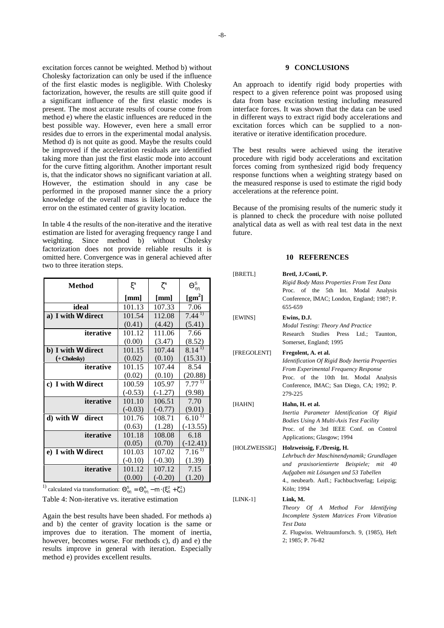excitation forces cannot be weighted. Method b) without Cholesky factorization can only be used if the influence of the first elastic modes is negligible. With Cholesky factorization, however, the results are still quite good if a significant influence of the first elastic modes is present. The most accurate results of course come from method e) where the elastic influences are reduced in the best possible way. However, even here a small error resides due to errors in the experimental modal analysis. Method d) is not quite as good. Maybe the results could be improved if the acceleration residuals are identified taking more than just the first elastic mode into account for the curve fitting algorithm. Another important result is, that the indicator shows no significant variation at all. However, the estimation should in any case be performed in the proposed manner since the a priory knowledge of the overall mass is likely to reduce the error on the estimated center of gravity location.

In table 4 the results of the non-iterative and the iterative estimation are listed for averaging frequency range I and weighting. Since method b) without Cholesky factorization does not provide reliable results it is omitted here. Convergence was in general achieved after two to three iteration steps.

| <b>Method</b>       | $\xi^s$   | $\zeta^{\mathrm{s}}$ | $\Theta_{\eta\eta}^{\text{S}}$ |
|---------------------|-----------|----------------------|--------------------------------|
|                     | [mm]      | [mm]                 | $\text{[gm}^2\text{]}$         |
| ideal               | 101.13    | 107.33               | 7.06                           |
| a) I with W direct  | 101.54    | 112.08               | $7.44^{11}$                    |
|                     | (0.41)    | (4.42)               | (5.41)                         |
| iterative           | 101.12    | 111.06               | 7.66                           |
|                     | (0.00)    | (3.47)               | (8.52)                         |
| b) I with W direct  | 101.15    | 107.44               | $8.14^{1}$                     |
| $(+$ Cholesky $)$   | (0.02)    | (0.10)               | (15.31)                        |
| iterative           | 101.15    | 107.44               | 8.54                           |
|                     | (0.02)    | (0.10)               | (20.88)                        |
| c) I with W direct  | 100.59    | 105.97               | $7.77^{11}$                    |
|                     | $(-0.53)$ | $(-1.27)$            | (9.98)                         |
| iterative           | 101.10    | 106.51               | 7.70                           |
|                     | $(-0.03)$ | $(-0.77)$            | (9.01)                         |
| d) with W<br>direct | 101.76    | 108.71               | 6.1 <sup>1</sup>               |
|                     | (0.63)    | (1.28)               | $(-13.55)$                     |
| iterative           | 101.18    | 108.08               | 6.18                           |
|                     | (0.05)    | (0.70)               | $(-12.41)$                     |
| e) I with W direct  | 101.03    | 107.02               | $7.16^{11}$                    |
|                     | $(-0.10)$ | $(-0.30)$            | (1.39)                         |
| iterative           | 101.12    | 107.12               | 7.15                           |
|                     | (0.00)    | $(-0.20)$            | (1.20)                         |

<sup>1)</sup> calculated via transformation:  $\Theta_{nn}^S = \Theta_{nn}^A - m \cdot (\xi_S^2 + \zeta_S^2)$ 

Table 4: Non-iterative vs. iterative estimation

Again the best results have been shaded. For methods a) and b) the center of gravity location is the same or improves due to iteration. The moment of inertia, however, becomes worse. For methods c), d) and e) the results improve in general with iteration. Especially method e) provides excellent results.

## **9 CONCLUSIONS**

An approach to identify rigid body properties with respect to a given reference point was proposed using data from base excitation testing including measured interface forces. It was shown that the data can be used in different ways to extract rigid body accelerations and excitation forces which can be supplied to a noniterative or iterative identification procedure.

The best results were achieved using the iterative procedure with rigid body accelerations and excitation forces coming from synthesized rigid body frequency response functions when a weighting strategy based on the measured response is used to estimate the rigid body accelerations at the reference point.

Because of the promising results of the numeric study it is planned to check the procedure with noise polluted analytical data as well as with real test data in the next future.

#### **10 REFERENCES**

| [BRETL]       | Bretl, J./Conti, P.<br>Rigid Body Mass Properties From Test Data                                                                                                                                                              |  |  |
|---------------|-------------------------------------------------------------------------------------------------------------------------------------------------------------------------------------------------------------------------------|--|--|
|               | Proc. of the 5th Int. Modal Analysis<br>Conference, IMAC; London, England; 1987; P.<br>655-659                                                                                                                                |  |  |
| [EWINS]       | Ewins, D.J.<br><b>Modal Testing: Theory And Practice</b><br>Research Studies<br>Press Ltd.;<br>Taunton,<br>Somerset, England; 1995                                                                                            |  |  |
| [FREGOLENT]   | Fregolent, A. et al.<br>Identification Of Rigid Body Inertia Properties<br>From Experimental Frequency Response<br>Proc. of the 10th Int. Modal Analysis<br>Conference, IMAC; San Diego, CA; 1992; P.<br>279-225              |  |  |
| [HAHN]        | Hahn, H. et al.<br>Inertia Parameter Identification Of Rigid<br><b>Bodies Using A Multi-Axis Test Facility</b><br>Proc. of the 3rd IEEE Conf. on Control<br>Applications; Glasgow; 1994                                       |  |  |
| [HOLZWEISSIG] | Holzweissig, F./Dresig, H.<br>Lehrbuch der Maschinendynamik; Grundlagen<br>und praxisorientierte Beispiele; mit<br>40<br>Aufgaben mit Lösungen und 53 Tabellen<br>4., neubearb. Aufl.; Fachbuchverlag; Leipzig;<br>Köln; 1994 |  |  |
| $[LINK-1]$    | Link, M.<br>Theory Of A Method For Identifying<br>Incomplete System Matrices From Vibration<br><b>Test Data</b><br>Z. Flugwiss. Weltraumforsch. 9, (1985), Heft<br>2; 1985; P. 76-82                                          |  |  |